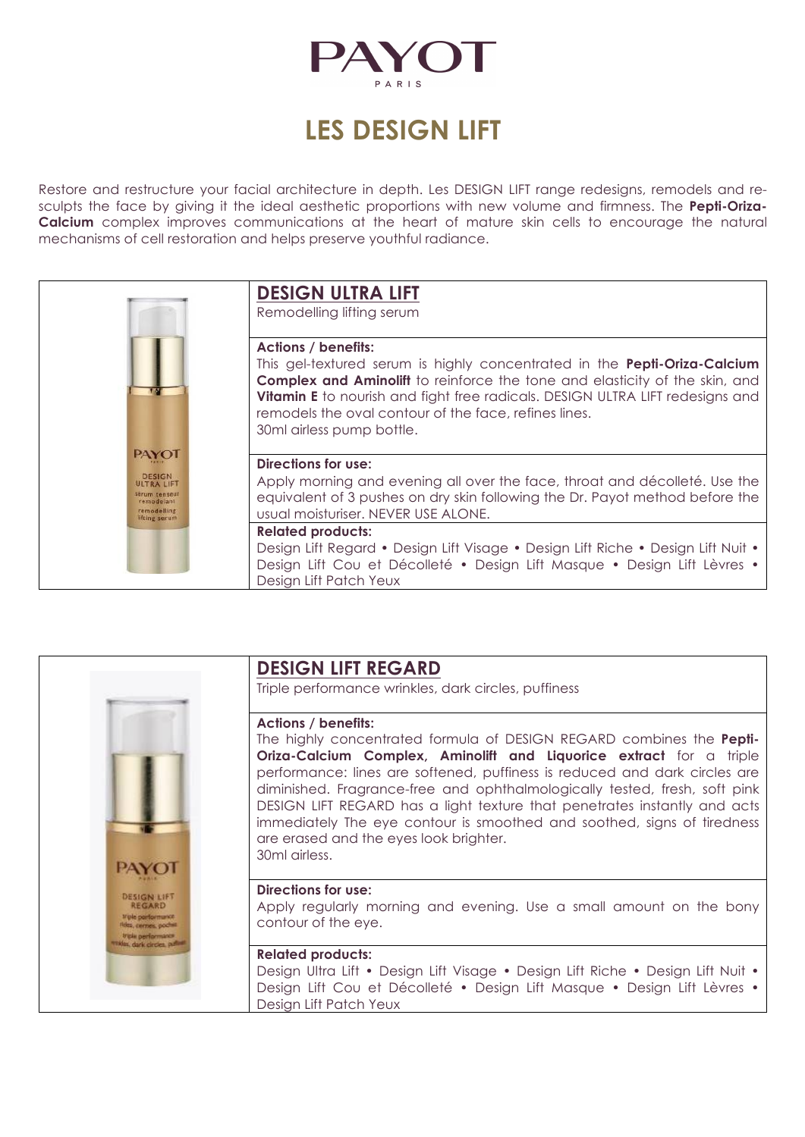

# **LES DESIGN LIFT**

Restore and restructure your facial architecture in depth. Les DESIGN LIFT range redesigns, remodels and resculpts the face by giving it the ideal aesthetic proportions with new volume and firmness. The **Pepti-Oriza-Calcium** complex improves communications at the heart of mature skin cells to encourage the natural mechanisms of cell restoration and helps preserve youthful radiance.



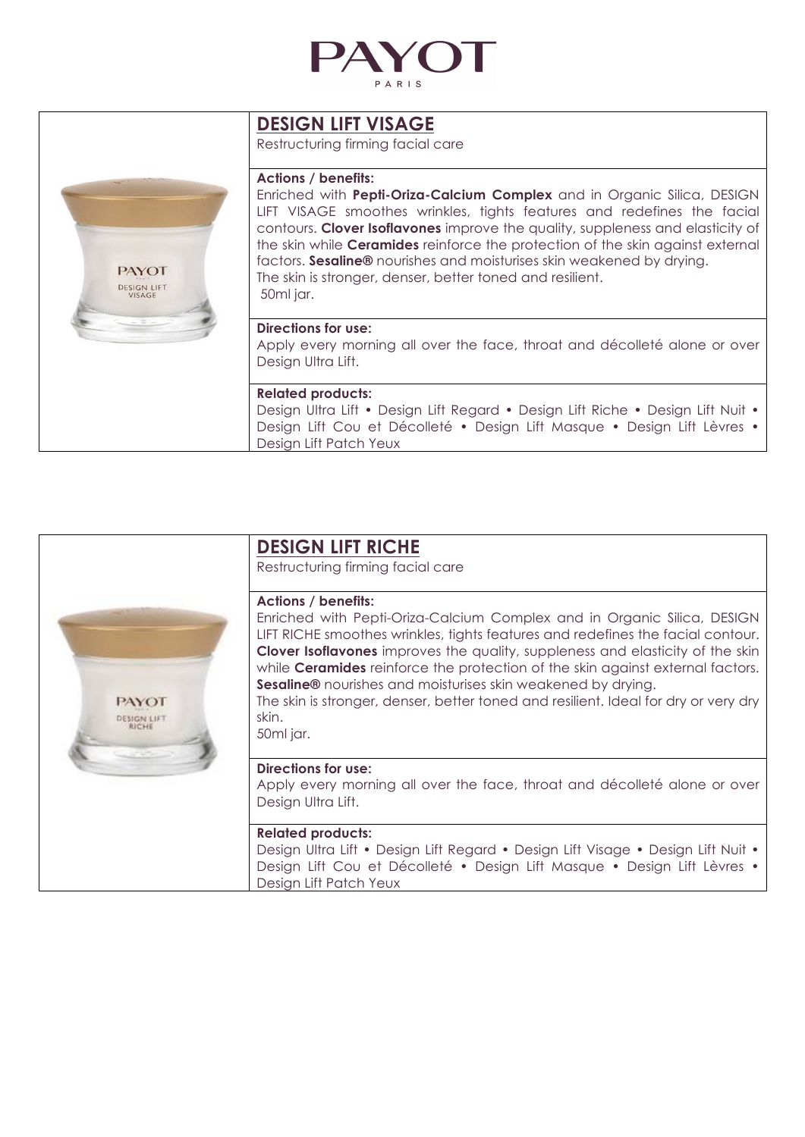

## **DESIGN LIFT VISAGE**

Restructuring firming facial care

# **PAYOT** DESIGN LIFT

### **Actions / benefits:**

Enriched with **Pepti-Oriza-Calcium Complex** and in Organic Silica, DESIGN LIFT VISAGE smoothes wrinkles, tights features and redefines the facial contours. **Clover Isoflavones** improve the quality, suppleness and elasticity of the skin while **Ceramides** reinforce the protection of the skin against external factors. **Sesaline®** nourishes and moisturises skin weakened by drying. The skin is stronger, denser, better toned and resilient. 50ml jar.

### **Directions for use:**

Apply every morning all over the face, throat and décolleté alone or over Design Ultra Lift.

### **Related products:**

Design Ultra Lift • Design Lift Regard • Design Lift Riche • Design Lift Nuit • Design Lift Cou et Décolleté • Design Lift Masque • Design Lift Lèvres • Design Lift Patch Yeux

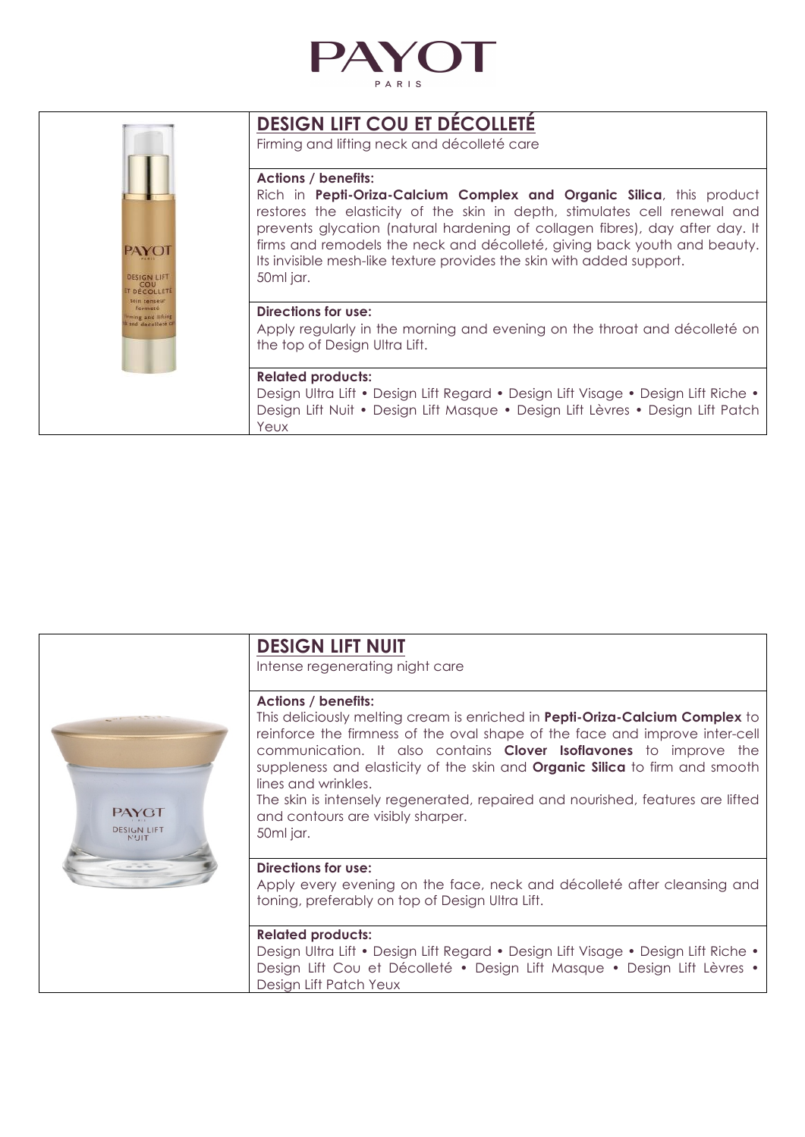

| <b>DESIGN LIFT</b><br>COU<br><b>IT DECOLLETE</b><br>soin tenseur<br>lermete<br><b>Irming and lifting</b><br>and decollete d | <b>DESIGN LIFT COU ET DÉCOLLETÉ</b><br>Firming and lifting neck and décolleté care                                                                                                                                                                                                                                                                                                                                                |
|-----------------------------------------------------------------------------------------------------------------------------|-----------------------------------------------------------------------------------------------------------------------------------------------------------------------------------------------------------------------------------------------------------------------------------------------------------------------------------------------------------------------------------------------------------------------------------|
|                                                                                                                             | <b>Actions / benefits:</b><br>Rich in Pepti-Oriza-Calcium Complex and Organic Silica, this product<br>restores the elasticity of the skin in depth, stimulates cell renewal and<br>prevents glycation (natural hardening of collagen fibres), day after day. It<br>firms and remodels the neck and décolleté, giving back youth and beauty.<br>Its invisible mesh-like texture provides the skin with added support.<br>50ml jar. |
|                                                                                                                             | Directions for use:<br>Apply regularly in the morning and evening on the throat and décolleté on<br>the top of Design Ultra Lift.                                                                                                                                                                                                                                                                                                 |
|                                                                                                                             | <b>Related products:</b><br>Design Ultra Lift • Design Lift Regard • Design Lift Visage • Design Lift Riche •<br>Design Lift Nuit • Design Lift Masque • Design Lift Lèvres • Design Lift Patch<br>Yeux                                                                                                                                                                                                                           |

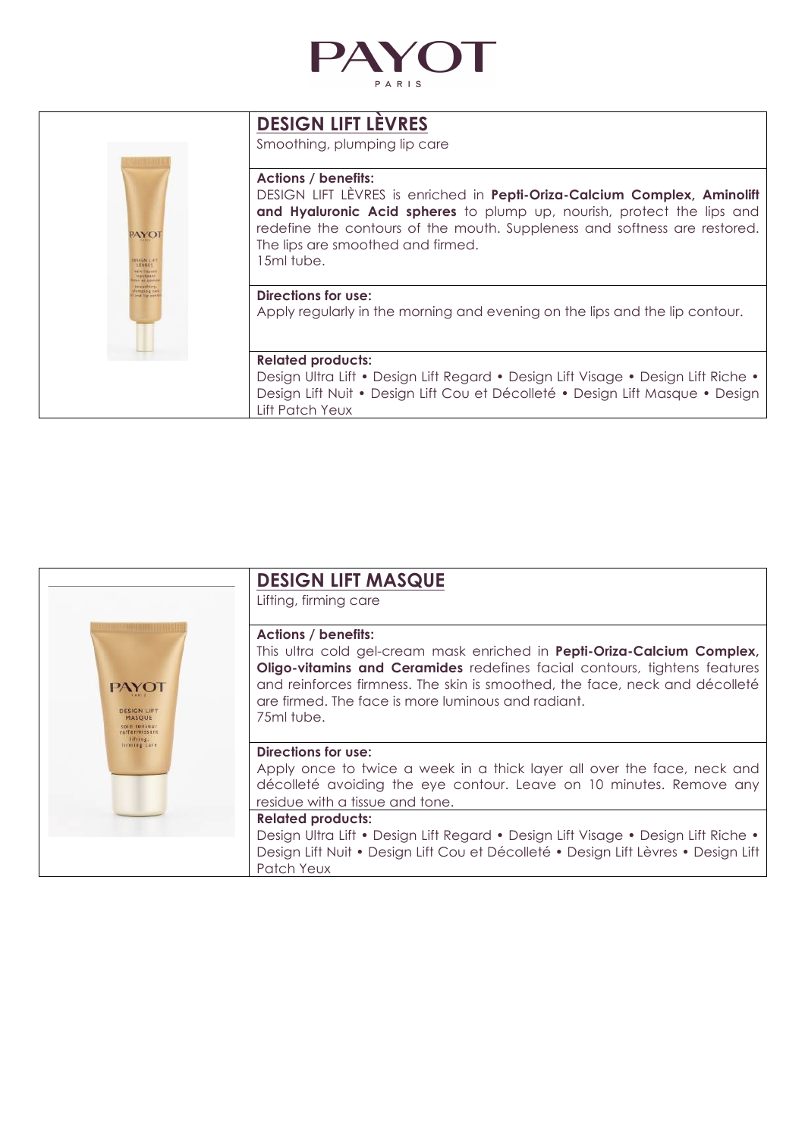

| <b>PAYOT</b><br><b><i>ESIGN LIT</i></b><br>LEVEES<br><b>GENTHERAL</b><br>reputpa<br>let <i>et</i> con<br>and lip col | <b>DESIGN LIFT LEVRES</b><br>Smoothing, plumping lip care                                                                                                                                                                                                                                                        |
|----------------------------------------------------------------------------------------------------------------------|------------------------------------------------------------------------------------------------------------------------------------------------------------------------------------------------------------------------------------------------------------------------------------------------------------------|
|                                                                                                                      | <b>Actions / benefits:</b><br>DESIGN LIFT LEVRES is enriched in Pepti-Oriza-Calcium Complex, Aminolift<br>and Hyaluronic Acid spheres to plump up, nourish, protect the lips and<br>redefine the contours of the mouth. Suppleness and softness are restored.<br>The lips are smoothed and firmed.<br>15ml tube. |
|                                                                                                                      | <b>Directions for use:</b><br>Apply regularly in the morning and evening on the lips and the lip contour.                                                                                                                                                                                                        |
|                                                                                                                      | <b>Related products:</b><br>Design Ultra Lift • Design Lift Regard • Design Lift Visage • Design Lift Riche •<br>Design Lift Nuit • Design Lift Cou et Décolleté • Design Lift Masque • Design<br>Lift Patch Yeux                                                                                                |

| PAYO<br><b>DESIGN LIFT</b><br><b>MASOUE</b><br>soin tenseur<br><i>raffermissant</i><br>firming care | <b>DESIGN LIFT MASQUE</b><br>Lifting, firming care                                                                                                                                                                                                                                                                                    |
|-----------------------------------------------------------------------------------------------------|---------------------------------------------------------------------------------------------------------------------------------------------------------------------------------------------------------------------------------------------------------------------------------------------------------------------------------------|
|                                                                                                     | <b>Actions / benefits:</b><br>This ultra cold gel-cream mask enriched in Pepti-Oriza-Calcium Complex,<br>Oligo-vitamins and Ceramides redefines facial contours, tightens features<br>and reinforces firmness. The skin is smoothed, the face, neck and décolleté<br>are firmed. The face is more luminous and radiant.<br>75ml tube. |
|                                                                                                     | Directions for use:<br>Apply once to twice a week in a thick layer all over the face, neck and<br>décolleté avoiding the eye contour. Leave on 10 minutes. Remove any<br>residue with a tissue and tone.                                                                                                                              |
|                                                                                                     | <b>Related products:</b><br>Design Ultra Lift • Design Lift Regard • Design Lift Visage • Design Lift Riche •<br>Design Lift Nuit • Design Lift Cou et Décolleté • Design Lift Lèvres • Design Lift<br>Patch Yeux                                                                                                                     |